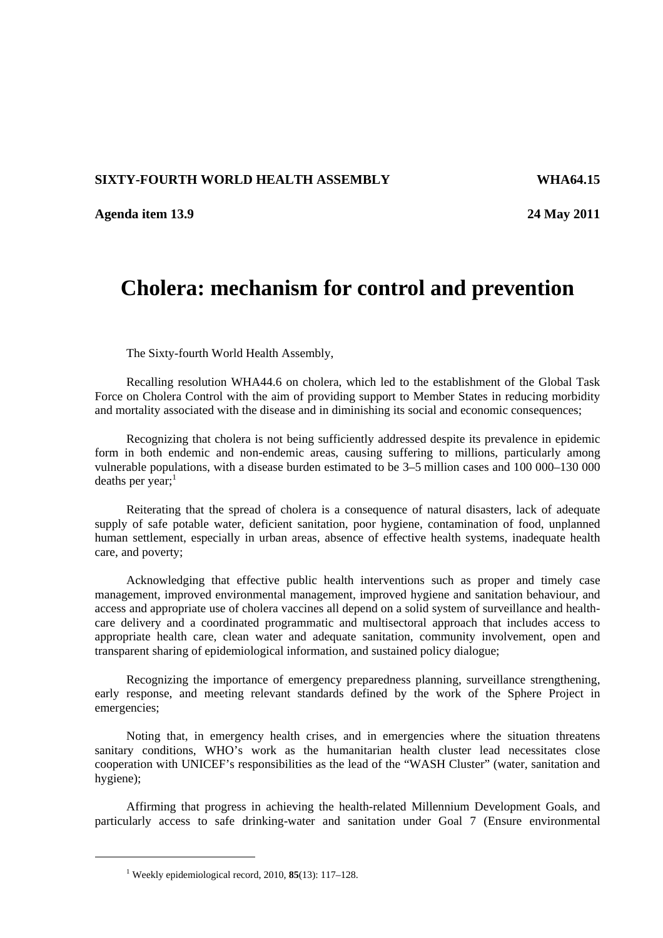## **SIXTY-FOURTH WORLD HEALTH ASSEMBLY WHA64.15**

**Agenda item 13.9 24 May 2011** 

## **Cholera: mechanism for control and prevention**

The Sixty-fourth World Health Assembly,

Recalling resolution WHA44.6 on cholera, which led to the establishment of the Global Task Force on Cholera Control with the aim of providing support to Member States in reducing morbidity and mortality associated with the disease and in diminishing its social and economic consequences;

Recognizing that cholera is not being sufficiently addressed despite its prevalence in epidemic form in both endemic and non-endemic areas, causing suffering to millions, particularly among vulnerable populations, with a disease burden estimated to be 3–5 million cases and 100 000–130 000 deaths per year; $<sup>1</sup>$ </sup>

Reiterating that the spread of cholera is a consequence of natural disasters, lack of adequate supply of safe potable water, deficient sanitation, poor hygiene, contamination of food, unplanned human settlement, especially in urban areas, absence of effective health systems, inadequate health care, and poverty;

Acknowledging that effective public health interventions such as proper and timely case management, improved environmental management, improved hygiene and sanitation behaviour, and access and appropriate use of cholera vaccines all depend on a solid system of surveillance and healthcare delivery and a coordinated programmatic and multisectoral approach that includes access to appropriate health care, clean water and adequate sanitation, community involvement, open and transparent sharing of epidemiological information, and sustained policy dialogue;

Recognizing the importance of emergency preparedness planning, surveillance strengthening, early response, and meeting relevant standards defined by the work of the Sphere Project in emergencies;

Noting that, in emergency health crises, and in emergencies where the situation threatens sanitary conditions, WHO's work as the humanitarian health cluster lead necessitates close cooperation with UNICEF's responsibilities as the lead of the "WASH Cluster" (water, sanitation and hygiene);

Affirming that progress in achieving the health-related Millennium Development Goals, and particularly access to safe drinking-water and sanitation under Goal 7 (Ensure environmental

 $\overline{a}$ 

<sup>1</sup> Weekly epidemiological record, 2010, **85**(13): 117–128.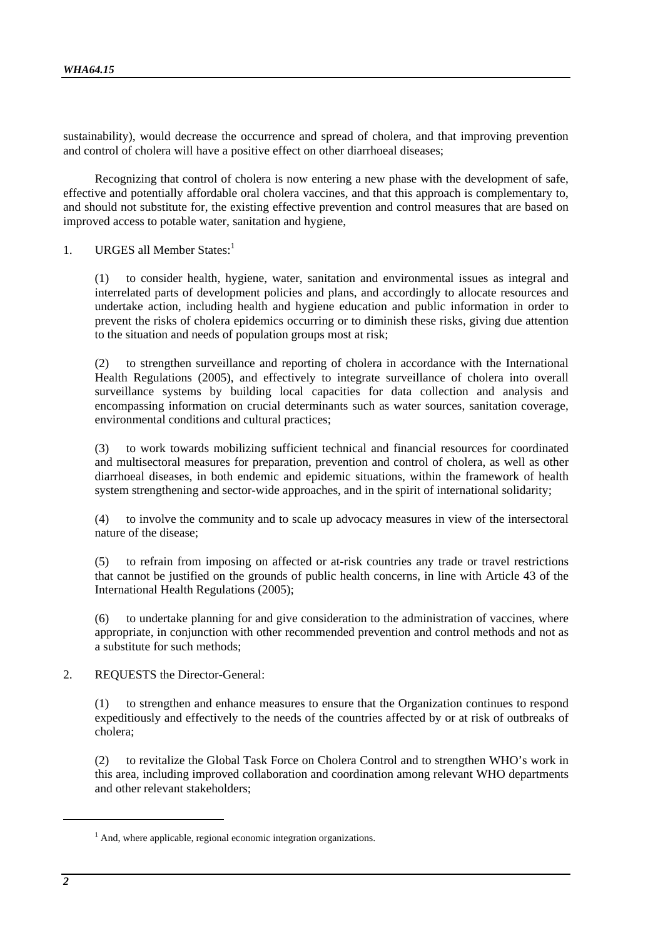sustainability), would decrease the occurrence and spread of cholera, and that improving prevention and control of cholera will have a positive effect on other diarrhoeal diseases;

Recognizing that control of cholera is now entering a new phase with the development of safe, effective and potentially affordable oral cholera vaccines, and that this approach is complementary to, and should not substitute for, the existing effective prevention and control measures that are based on improved access to potable water, sanitation and hygiene,

1. URGES all Member States:<sup>1</sup>

(1) to consider health, hygiene, water, sanitation and environmental issues as integral and interrelated parts of development policies and plans, and accordingly to allocate resources and undertake action, including health and hygiene education and public information in order to prevent the risks of cholera epidemics occurring or to diminish these risks, giving due attention to the situation and needs of population groups most at risk;

(2) to strengthen surveillance and reporting of cholera in accordance with the International Health Regulations (2005), and effectively to integrate surveillance of cholera into overall surveillance systems by building local capacities for data collection and analysis and encompassing information on crucial determinants such as water sources, sanitation coverage, environmental conditions and cultural practices;

(3) to work towards mobilizing sufficient technical and financial resources for coordinated and multisectoral measures for preparation, prevention and control of cholera, as well as other diarrhoeal diseases, in both endemic and epidemic situations, within the framework of health system strengthening and sector-wide approaches, and in the spirit of international solidarity;

(4) to involve the community and to scale up advocacy measures in view of the intersectoral nature of the disease;

(5) to refrain from imposing on affected or at-risk countries any trade or travel restrictions that cannot be justified on the grounds of public health concerns, in line with Article 43 of the International Health Regulations (2005);

(6) to undertake planning for and give consideration to the administration of vaccines, where appropriate, in conjunction with other recommended prevention and control methods and not as a substitute for such methods;

2. REQUESTS the Director-General:

(1) to strengthen and enhance measures to ensure that the Organization continues to respond expeditiously and effectively to the needs of the countries affected by or at risk of outbreaks of cholera;

(2) to revitalize the Global Task Force on Cholera Control and to strengthen WHO's work in this area, including improved collaboration and coordination among relevant WHO departments and other relevant stakeholders;

l

<sup>&</sup>lt;sup>1</sup> And, where applicable, regional economic integration organizations.